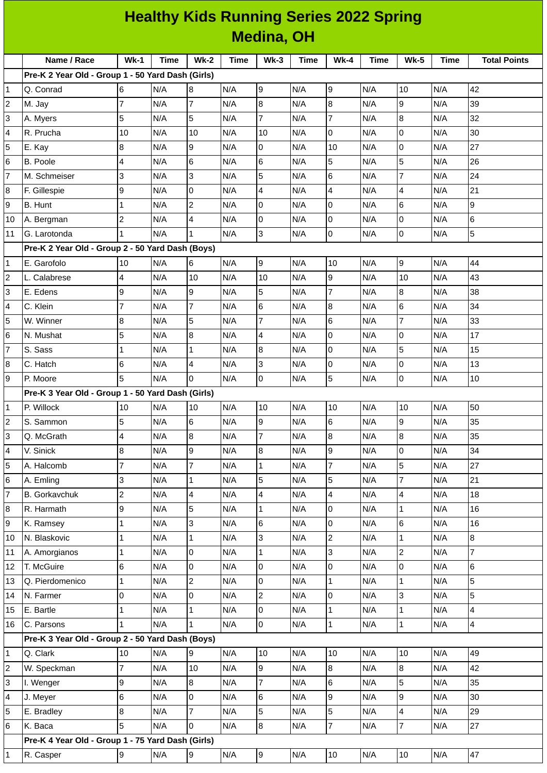|                 | <b>Healthy Kids Running Series 2022 Spring</b>    |                |      |                     |      |                |      |                          |      |                         |      |                     |
|-----------------|---------------------------------------------------|----------------|------|---------------------|------|----------------|------|--------------------------|------|-------------------------|------|---------------------|
|                 | <b>Medina, OH</b>                                 |                |      |                     |      |                |      |                          |      |                         |      |                     |
|                 | Name / Race                                       | <b>Wk-1</b>    | Time | <b>Wk-2</b>         | Time | $Wk-3$         | Time | <b>Wk-4</b>              | Time | <b>Wk-5</b>             | Time | <b>Total Points</b> |
|                 | Pre-K 2 Year Old - Group 1 - 50 Yard Dash (Girls) |                |      |                     |      |                |      |                          |      |                         |      |                     |
| 1               | Q. Conrad                                         | 6              | N/A  | 8                   | N/A  | 9              | N/A  | 9                        | N/A  | 10                      | N/A  | 42                  |
| $\overline{c}$  | M. Jay                                            | $\overline{7}$ | N/A  | $\overline{7}$      | N/A  | 8              | N/A  | $\bf{8}$                 | N/A  | $\mathsf g$             | N/A  | 39                  |
| 3               | A. Myers                                          | 5              | N/A  | 5                   | N/A  | $\overline{7}$ | N/A  | $\overline{7}$           | N/A  | 8                       | N/A  | 32                  |
| 4               | R. Prucha                                         | 10             | N/A  | 10                  | N/A  | 10             | N/A  | $\overline{0}$           | N/A  | O                       | N/A  | 30                  |
| 5               | E. Kay                                            | 8              | N/A  | 9                   | N/A  | $\overline{0}$ | N/A  | 10                       | N/A  | l0                      | N/A  | 27                  |
| 6               | B. Poole                                          | 4              | N/A  | $6\phantom{.}$      | N/A  | 6              | N/A  | 5                        | N/A  | 5                       | N/A  | 26                  |
| $\overline{7}$  | M. Schmeiser                                      | 3              | N/A  | 3                   | N/A  | 5              | N/A  | 6                        | N/A  | $\overline{7}$          | N/A  | 24                  |
| $\bf 8$         | F. Gillespie                                      | 9              | N/A  | $\overline{0}$      | N/A  | 4              | N/A  | $\overline{4}$           | N/A  | $\overline{4}$          | N/A  | 21                  |
| 9               | B. Hunt                                           | $\mathbf 1$    | N/A  | $\overline{c}$      | N/A  | 0              | N/A  | 0                        | N/A  | 6                       | N/A  | 9                   |
| 10              | A. Bergman                                        | $\overline{c}$ | N/A  | 4                   | N/A  | 0              | N/A  | $\overline{0}$           | N/A  | O                       | N/A  | 6                   |
| 11              | G. Larotonda                                      | $\mathbf{1}$   | N/A  | $\mathbf{1}$        | N/A  | 3              | N/A  | l0                       | N/A  | Iо                      | N/A  | 5                   |
|                 | Pre-K 2 Year Old - Group 2 - 50 Yard Dash (Boys)  |                |      |                     |      |                |      |                          |      |                         |      |                     |
| 1               | E. Garofolo                                       | 10             | N/A  | 6                   | N/A  | 9              | N/A  | 10                       | N/A  | $\overline{9}$          | N/A  | 44                  |
| $\overline{c}$  | L. Calabrese                                      | 4              | N/A  | 10                  | N/A  | 10             | N/A  | $\overline{9}$           | N/A  | 10                      | N/A  | 43                  |
| 3               | E. Edens                                          | 9              | N/A  | 9                   | N/A  | 5              | N/A  | $\overline{7}$           | N/A  | 8                       | N/A  | 38                  |
| 4               | C. Klein                                          | $\overline{7}$ | N/A  | $\overline{7}$      | N/A  | 6              | N/A  | $\bf{8}$                 | N/A  | $6\overline{6}$         | N/A  | 34                  |
| 5               | W. Winner                                         | 8              | N/A  | 5                   | N/A  | $\overline{7}$ | N/A  | $6\phantom{1}6$          | N/A  | $\overline{7}$          | N/A  | 33                  |
| $\,$ 6          | N. Mushat                                         | 5              | N/A  | 8                   | N/A  | 4              | N/A  | $\overline{0}$           | N/A  | 0                       | N/A  | 17                  |
| 7               | S. Sass                                           | 1              | N/A  | $\mathbf{1}$        | N/A  | 8              | N/A  | l0                       | N/A  | 5                       | N/A  | 15                  |
| 8               | C. Hatch                                          | 6              | N/A  | 4                   | N/A  | 3              | N/A  | $\overline{0}$           | N/A  | 0                       | N/A  | 13                  |
| 9               | P. Moore                                          | 5              | N/A  | 0                   | N/A  | 0              | N/A  | 5                        | N/A  | $\overline{0}$          | N/A  | 10                  |
|                 | Pre-K 3 Year Old - Group 1 - 50 Yard Dash (Girls) |                |      |                     |      |                |      |                          |      |                         |      |                     |
| 1               | P. Willock                                        | 10             | N/A  | 10                  | N/A  | 10             | N/A  | 10                       | N/A  | 10                      | N/A  | 50                  |
| 2               | S. Sammon                                         | 5              | N/A  | $\,6$               | N/A  | 9              | N/A  | 6                        | N/A  | 9                       | N/A  | 35                  |
| 3               | Q. McGrath                                        | 4              | N/A  | $8\,$               | N/A  | $\overline{7}$ | N/A  | 8                        | N/A  | $\bf{8}$                | N/A  | 35                  |
| 4               | V. Sinick                                         | 8              | N/A  | $\overline{9}$      | N/A  | 8              | N/A  | 9                        | N/A  | $\overline{0}$          | N/A  | 34                  |
| 5               | A. Halcomb                                        | $\overline{7}$ | N/A  | $\overline{7}$      | N/A  | $\mathbf{1}$   | N/A  | $\overline{7}$           | N/A  | 5                       | N/A  | 27                  |
| $6\phantom{.}6$ | A. Emling                                         | 3              | N/A  | $\mathbf 1$         | N/A  | 5              | N/A  | 5                        | N/A  | $\overline{7}$          | N/A  | 21                  |
| $\overline{7}$  | <b>B.</b> Gorkavchuk                              | $\overline{c}$ | N/A  | 4                   | N/A  | 4              | N/A  | $\overline{\mathcal{L}}$ | N/A  | $\overline{\mathbf{4}}$ | N/A  | 18                  |
| 8               | R. Harmath                                        | 9              | N/A  | 5                   | N/A  | 1              | N/A  | l0                       | N/A  | $\mathbf{1}$            | N/A  | 16                  |
| 9               | K. Ramsey                                         | $\mathbf{1}$   | N/A  | $\overline{3}$      | N/A  | 6              | N/A  | $\pmb{0}$                | N/A  | 6                       | N/A  | 16                  |
| 10              | N. Blaskovic                                      | $\mathbf{1}$   | N/A  | $\mathbf{1}$        | N/A  | 3              | N/A  | $\overline{c}$           | N/A  | $\mathbf{1}$            | N/A  | $\bf{8}$            |
| 11              | A. Amorgianos                                     | $\mathbf 1$    | N/A  | 0                   | N/A  | $\mathbf{1}$   | N/A  | 3                        | N/A  | $\overline{c}$          | N/A  | $\overline{7}$      |
| 12              | T. McGuire                                        | $6\phantom{a}$ | N/A  | 0                   | N/A  | 0              | N/A  | $\mathsf 0$              | N/A  | $\overline{0}$          | N/A  | $\,6$               |
| 13              | Q. Pierdomenico                                   | $\mathbf{1}$   | N/A  | $\overline{c}$      | N/A  | $\overline{0}$ | N/A  | $\mathbf 1$              | N/A  | $\mathbf{1}$            | N/A  | 5                   |
| 14              | N. Farmer                                         | $\overline{0}$ | N/A  | $\mathsf{O}\xspace$ | N/A  | $\overline{c}$ | N/A  | $\pmb{0}$                | N/A  | 3                       | N/A  | 5                   |
| 15              | E. Bartle                                         | $\overline{1}$ | N/A  | $\mathbf{1}$        | N/A  | 0              | N/A  | $\mathbf 1$              | N/A  | $\mathbf{1}$            | N/A  | $\overline{4}$      |
| 16              | C. Parsons                                        | $\mathbf{1}$   | N/A  | $\mathbf{1}$        | N/A  | $\overline{0}$ | N/A  | $\mathbf 1$              | N/A  | $\mathbf{1}$            | N/A  | $\overline{4}$      |
|                 | Pre-K 3 Year Old - Group 2 - 50 Yard Dash (Boys)  |                |      |                     |      |                |      |                          |      |                         |      |                     |
| 1               | Q. Clark                                          | 10             | N/A  | 9                   | N/A  | 10             | N/A  | 10                       | N/A  | 10                      | N/A  | 49                  |
| 2               | W. Speckman                                       | $\overline{7}$ | N/A  | 10                  | N/A  | 9              | N/A  | 8                        | N/A  | 8                       | N/A  | 42                  |
| 3               | I. Wenger                                         | 9              | N/A  | $\bf{8}$            | N/A  | 7              | N/A  | 6                        | N/A  | 5                       | N/A  | 35                  |
| 4               | J. Meyer                                          | 6              | N/A  | 0                   | N/A  | 6              | N/A  | $\mathsf g$              | N/A  | $\mathsf g$             | N/A  | 30                  |
| 5               | E. Bradley                                        | 8              | N/A  | $\overline{7}$      | N/A  | 5              | N/A  | 5                        | N/A  | $\overline{\mathbf{4}}$ | N/A  | 29                  |
| 6               | K. Baca                                           | 5              | N/A  | 0                   | N/A  | 8              | N/A  | $\overline{7}$           | N/A  | $\overline{7}$          | N/A  | 27                  |
|                 | Pre-K 4 Year Old - Group 1 - 75 Yard Dash (Girls) |                |      |                     |      |                |      |                          |      |                         |      |                     |
| 1               | R. Casper                                         | 9              | N/A  | $\overline{9}$      | N/A  | 9              | N/A  | 10                       | N/A  | 10                      | N/A  | 47                  |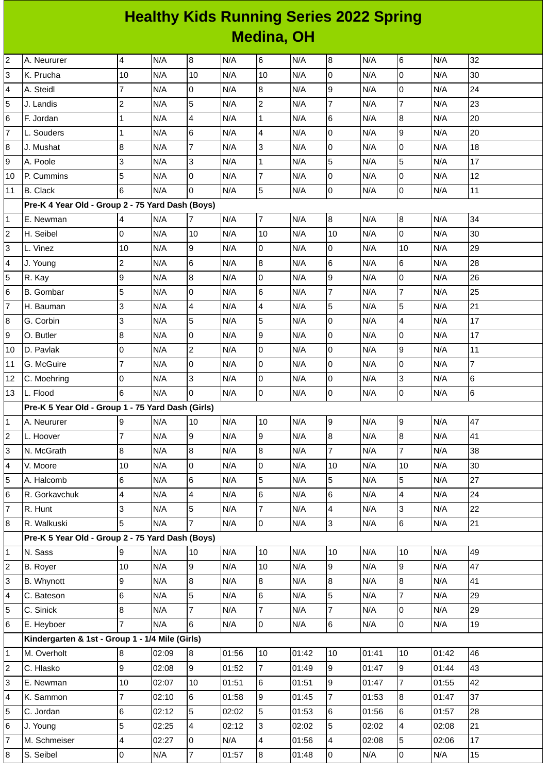## **Healthy Kids Running Series 2022 Spring Medina, OH**

| $\overline{c}$          | A. Neururer                                       | 4              | N/A   | 8               | N/A   | 6                       | N/A   | 8              | N/A   | $6\phantom{.}6$  | N/A   | 32             |
|-------------------------|---------------------------------------------------|----------------|-------|-----------------|-------|-------------------------|-------|----------------|-------|------------------|-------|----------------|
| 3                       | K. Prucha                                         | 10             | N/A   | 10              | N/A   | 10                      | N/A   | 0              | N/A   | 0                | N/A   | 30             |
| 4                       | A. Steidl                                         | 7              | N/A   | 0               | N/A   | 8                       | N/A   | 9              | N/A   | $\overline{0}$   | N/A   | 24             |
| 5                       | J. Landis                                         | $\overline{c}$ | N/A   | 5               | N/A   | $\overline{c}$          | N/A   | $\overline{7}$ | N/A   | $\overline{7}$   | N/A   | 23             |
| 6                       | F. Jordan                                         | $\mathbf{1}$   | N/A   | 4               | N/A   | $\mathbf 1$             | N/A   | 6              | N/A   | 8                | N/A   | 20             |
| $\overline{7}$          | L. Souders                                        | 1              | N/A   | 6               | N/A   | 4                       | N/A   | $\mathsf{O}$   | N/A   | 9                | N/A   | 20             |
| 8                       | J. Mushat                                         | 8              | N/A   | $\overline{7}$  | N/A   | 3                       | N/A   | 0              | N/A   | $\mathsf{O}$     | N/A   | 18             |
| 9                       | A. Poole                                          | 3              | N/A   | 3               | N/A   | $\mathbf 1$             | N/A   | 5              | N/A   | 5                | N/A   | 17             |
| 10                      | P. Cummins                                        | 5              | N/A   | 0               | N/A   | $\overline{7}$          | N/A   | 0              | N/A   | $\mathsf 0$      | N/A   | 12             |
| 11                      | <b>B.</b> Clack                                   | 6              | N/A   | $\Omega$        | N/A   | 5                       | N/A   | l0             | N/A   | 0                | N/A   | 11             |
|                         | Pre-K 4 Year Old - Group 2 - 75 Yard Dash (Boys)  |                |       |                 |       |                         |       |                |       |                  |       |                |
| $\mathbf{1}$            | E. Newman                                         | 4              | N/A   | $\overline{7}$  | N/A   | $\overline{7}$          | N/A   | $\, 8$         | N/A   | $\, 8$           | N/A   | 34             |
| $\overline{c}$          | H. Seibel                                         | 0              | N/A   | 10              | N/A   | 10                      | N/A   | 10             | N/A   | 0                | N/A   | 30             |
| 3                       | L. Vinez                                          | 10             | N/A   | 9               | N/A   | 0                       | N/A   | 0              | N/A   | 10               | N/A   | 29             |
| 4                       | J. Young                                          | $\overline{c}$ | N/A   | 6               | N/A   | $\overline{8}$          | N/A   | $6\phantom{a}$ | N/A   | 6                | N/A   | 28             |
| 5                       | R. Kay                                            | 9              | N/A   | $\bf{8}$        | N/A   | 0                       | N/A   | 9              | N/A   | O                | N/A   | 26             |
| 6                       | <b>B.</b> Gombar                                  | 5              | N/A   | 0               | N/A   | 6                       | N/A   | $\overline{7}$ | N/A   | $\overline{7}$   | N/A   | 25             |
| $\overline{7}$          | H. Bauman                                         | 3              | N/A   | 4               | N/A   | $\overline{\mathbf{4}}$ | N/A   | 5              | N/A   | 5                | N/A   | 21             |
| 8                       | G. Corbin                                         | 3              | N/A   | 5               | N/A   | 5                       | N/A   | 0              | N/A   | 4                | N/A   | 17             |
| 9                       | O. Butler                                         | 8              | N/A   | 0               | N/A   | 9                       | N/A   | 0              | N/A   | $\mathsf 0$      | N/A   | 17             |
| 10                      | D. Pavlak                                         | 0              | N/A   | $\overline{2}$  | N/A   | 0                       | N/A   | 0              | N/A   | 9                | N/A   | 11             |
| 11                      | G. McGuire                                        | $\overline{7}$ | N/A   | 0               | N/A   | 0                       | N/A   | 0              | N/A   | 0                | N/A   | $\overline{7}$ |
| 12                      | C. Moehring                                       | 0              | N/A   | 3               | N/A   | $\overline{0}$          | N/A   | 0              | N/A   | 3                | N/A   | 6              |
| 13                      | L. Flood                                          | 6              | N/A   | $\Omega$        | N/A   | 0                       | N/A   | $\pmb{0}$      | N/A   | $\overline{0}$   | N/A   | $\,6$          |
|                         | Pre-K 5 Year Old - Group 1 - 75 Yard Dash (Girls) |                |       |                 |       |                         |       |                |       |                  |       |                |
| $\mathbf{1}$            | A. Neururer                                       | 9              | N/A   | 10              | N/A   | 10                      | N/A   | 9              | N/A   | 9                | N/A   | 47             |
| $\overline{\mathbf{c}}$ | L. Hoover                                         | 7              | N/A   | 9               | N/A   | 9                       | N/A   | $\, 8$         | N/A   | $\boldsymbol{8}$ | N/A   | 41             |
| 3                       | N. McGrath                                        | 8              | N/A   | 8               | N/A   | $\overline{8}$          | N/A   | $\overline{7}$ | N/A   | $\overline{7}$   | N/A   | 38             |
| 4                       | V. Moore                                          | 10             | N/A   | $\overline{0}$  | N/A   | 0                       | N/A   | 10             | N/A   | 10               | N/A   | 30             |
| 5                       | A. Halcomb                                        | 6              | N/A   | 6               | N/A   | 5                       | N/A   | 5              | N/A   | 5                | N/A   | 27             |
| 6                       | R. Gorkavchuk                                     | 4              | N/A   | 4               | N/A   | 6                       | N/A   | 6              | N/A   | 4                | N/A   | 24             |
| $\overline{7}$          | R. Hunt                                           | 3              | N/A   | 5               | N/A   | $\overline{7}$          | N/A   | 4              | N/A   | 3                | N/A   | 22             |
| 8                       | R. Walkuski                                       | 5              | N/A   | $\overline{7}$  | N/A   | $\overline{0}$          | N/A   | 3              | N/A   | 6                | N/A   | 21             |
|                         | Pre-K 5 Year Old - Group 2 - 75 Yard Dash (Boys)  |                |       |                 |       |                         |       |                |       |                  |       |                |
| 1                       | N. Sass                                           | 9              | N/A   | 10              | N/A   | 10                      | N/A   | 10             | N/A   | 10               | N/A   | 49             |
| $\overline{c}$          | <b>B.</b> Royer                                   | 10             | N/A   | 9               | N/A   | 10                      | N/A   | 9              | N/A   | $\overline{9}$   | N/A   | 47             |
| 3                       | B. Whynott                                        | 9              | N/A   | $8\,$           | N/A   | 8                       | N/A   | 8              | N/A   | $\overline{8}$   | N/A   | 41             |
| 4                       | C. Bateson                                        | 6              | N/A   | 5               | N/A   | 6                       | N/A   | 5              | N/A   | $\overline{7}$   | N/A   | 29             |
| 5                       | C. Sinick                                         | 8              | N/A   | $\overline{7}$  | N/A   | $\overline{7}$          | N/A   | $\overline{7}$ | N/A   | 0                | N/A   | 29             |
| 6                       | E. Heyboer                                        | $\overline{7}$ | N/A   | 6               | N/A   | $\overline{0}$          | N/A   | 6              | N/A   | $\overline{0}$   | N/A   | 19             |
|                         | Kindergarten & 1st - Group 1 - 1/4 Mile (Girls)   |                |       |                 |       |                         |       |                |       |                  |       |                |
| $\mathbf{1}$            | M. Overholt                                       | 8              | 02:09 | 8               | 01:56 | 10                      | 01:42 | 10             | 01:41 | 10               | 01:42 | 46             |
| $\overline{\mathbf{c}}$ | C. Hlasko                                         | 9              | 02:08 | 9               | 01:52 | $\overline{7}$          | 01:49 | 9              | 01:47 | 9                | 01:44 | 43             |
| 3                       | E. Newman                                         | 10             | 02:07 | 10              | 01:51 | 6                       | 01:51 | 9              | 01:47 | $\overline{7}$   | 01:55 | 42             |
| 4                       | K. Sammon                                         | $\overline{7}$ | 02:10 | 6               | 01:58 | 9                       | 01:45 | $\overline{7}$ | 01:53 | 8                | 01:47 | 37             |
| 5                       | C. Jordan                                         | 6              | 02:12 | $5\overline{5}$ | 02:02 | 5                       | 01:53 | 6              | 01:56 | 6                | 01:57 | 28             |
| 6                       | J. Young                                          | 5              | 02:25 | 4               | 02:12 | $\overline{3}$          | 02:02 | 5              | 02:02 | $\overline{4}$   | 02:08 | 21             |
| $\overline{7}$          | M. Schmeiser                                      | 4              | 02:27 | 0               | N/A   | 4                       | 01:56 | 4              | 02:08 | 5                | 02:06 | 17             |
| 8                       | S. Seibel                                         | 0              | N/A   | $\overline{7}$  | 01:57 | $8\,$                   | 01:48 | $\mathsf 0$    | N/A   | $\mathsf{O}$     | N/A   | 15             |
|                         |                                                   |                |       |                 |       |                         |       |                |       |                  |       |                |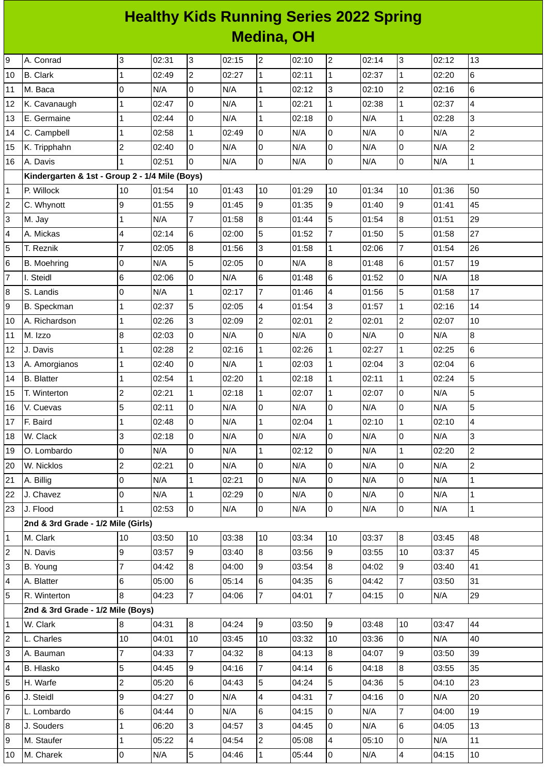## **Healthy Kids Running Series 2022 Spring Medina, OH**

| 9              | A. Conrad                                      | 3              | 02:31 | 3              | 02:15 | $\overline{c}$          | 02:10 | $\overline{c}$ | 02:14 | 3              | 02:12 | 13             |
|----------------|------------------------------------------------|----------------|-------|----------------|-------|-------------------------|-------|----------------|-------|----------------|-------|----------------|
| 10             | <b>B.</b> Clark                                | $\mathbf{1}$   | 02:49 | $\overline{c}$ | 02:27 | $\mathbf 1$             | 02:11 | $\mathbf{1}$   | 02:37 | $\mathbf 1$    | 02:20 | 6              |
| 11             | M. Baca                                        | 0              | N/A   | 0              | N/A   | $\mathbf 1$             | 02:12 | 3              | 02:10 | $\overline{c}$ | 02:16 | 6              |
| 12             | K. Cavanaugh                                   | $\mathbf{1}$   | 02:47 | 0              | N/A   | $\mathbf{1}$            | 02:21 | $\mathbf{1}$   | 02:38 | $\mathbf{1}$   | 02:37 | 4              |
| 13             | E. Germaine                                    | 1              | 02:44 | 0              | N/A   | $\mathbf 1$             | 02:18 | 0              | N/A   | $\mathbf 1$    | 02:28 | 3              |
| 14             | C. Campbell                                    | 1              | 02:58 | $\mathbf 1$    | 02:49 | 0                       | N/A   | $\overline{0}$ | N/A   | 0              | N/A   | $\overline{c}$ |
| 15             | K. Tripphahn                                   | $\overline{c}$ | 02:40 | 0              | N/A   | 0                       | N/A   | $\mathsf 0$    | N/A   | 0              | N/A   | $\overline{c}$ |
| 16             | A. Davis                                       | $\mathbf{1}$   | 02:51 | $\Omega$       | N/A   | 0                       | N/A   | 0              | N/A   | 0              | N/A   | $\mathbf{1}$   |
|                | Kindergarten & 1st - Group 2 - 1/4 Mile (Boys) |                |       |                |       |                         |       |                |       |                |       |                |
| $\mathbf 1$    | P. Willock                                     | 10             | 01:54 | 10             | 01:43 | 10                      | 01:29 | 10             | 01:34 | 10             | 01:36 | 50             |
| $\overline{c}$ | C. Whynott                                     | 9              | 01:55 | 9              | 01:45 | 9                       | 01:35 | 9              | 01:40 | 9              | 01:41 | 45             |
| 3              | M. Jay                                         | $\mathbf{1}$   | N/A   | 7              | 01:58 | 8                       | 01:44 | 5              | 01:54 | 8              | 01:51 | 29             |
| 4              | A. Mickas                                      | 4              | 02:14 | 6              | 02:00 | 5                       | 01:52 | $\overline{7}$ | 01:50 | 5              | 01:58 | 27             |
| 5              | T. Reznik                                      | 7              | 02:05 | 8              | 01:56 | 3                       | 01:58 | $\mathbf{1}$   | 02:06 | $\overline{7}$ | 01:54 | 26             |
| 6              | B. Moehring                                    | $\mathsf 0$    | N/A   | 5              | 02:05 | 0                       | N/A   | $\overline{8}$ | 01:48 | 6              | 01:57 | 19             |
| 7              | I. Steidl                                      | 6              | 02:06 | 0              | N/A   | 6                       | 01:48 | $\,6$          | 01:52 | 0              | N/A   | 18             |
| 8              | S. Landis                                      | 0              | N/A   | 1              | 02:17 | $\overline{7}$          | 01:46 | 4              | 01:56 | 5              | 01:58 | 17             |
| 9              | B. Speckman                                    | $\mathbf{1}$   | 02:37 | 5              | 02:05 | $\overline{\mathbf{4}}$ | 01:54 | 3              | 01:57 | $\mathbf{1}$   | 02:16 | 14             |
| 10             | A. Richardson                                  | $\mathbf{1}$   | 02:26 | 3              | 02:09 | $\overline{c}$          | 02:01 | $\overline{c}$ | 02:01 | $\overline{c}$ | 02:07 | 10             |
| 11             | M. Izzo                                        | 8              | 02:03 | 0              | N/A   | 0                       | N/A   | 0              | N/A   | 0              | N/A   | 8              |
| 12             | J. Davis                                       | $\mathbf{1}$   | 02:28 | $\overline{c}$ | 02:16 | $\mathbf 1$             | 02:26 | $\mathbf{1}$   | 02:27 | $\mathbf{1}$   | 02:25 | $6\phantom{a}$ |
| 13             | A. Amorgianos                                  | $\mathbf{1}$   | 02:40 | 0              | N/A   | $\mathbf 1$             | 02:03 | $\mathbf{1}$   | 02:04 | 3              | 02:04 | 6              |
| 14             | <b>B.</b> Blatter                              | $\mathbf{1}$   | 02:54 | $\mathbf 1$    | 02:20 | $\mathbf{1}$            | 02:18 | $\mathbf{1}$   | 02:11 | $\mathbf{1}$   | 02:24 | 5              |
| 15             | T. Winterton                                   | $\overline{c}$ | 02:21 | $\mathbf 1$    | 02:18 | $\mathbf 1$             | 02:07 | $\mathbf{1}$   | 02:07 | 0              | N/A   | 5              |
| 16             | V. Cuevas                                      | 5              | 02:11 | 0              | N/A   | 0                       | N/A   | 0              | N/A   | 0              | N/A   | 5              |
| 17             | F. Baird                                       | 1              | 02:48 | 0              | N/A   | $\mathbf 1$             | 02:04 | $\mathbf{1}$   | 02:10 | $\mathbf 1$    | 02:10 | 4              |
| 18             | W. Clack                                       | 3              | 02:18 | 0              | N/A   | 0                       | N/A   | 0              | N/A   | 0              | N/A   | 3              |
| 19             | O. Lombardo                                    | O              | N/A   | $\overline{0}$ | N/A   | $\mathbf{1}$            | 02:12 | O              | N/A   | $\overline{1}$ | 02:20 | $\overline{2}$ |
| 20             | W. Nicklos                                     | $\overline{c}$ | 02:21 | 0              | N/A   | 0                       | N/A   | 0              | N/A   | 0              | N/A   | $\overline{c}$ |
| 21             | A. Billig                                      | $\mathsf 0$    | N/A   | $\mathbf{1}$   | 02:21 | $\overline{0}$          | N/A   | $\overline{0}$ | N/A   | $\mathsf{O}$   | N/A   | $\overline{1}$ |
| 22             | J. Chavez                                      | 0              | N/A   | $\mathbf{1}$   | 02:29 | 0                       | N/A   | 0              | N/A   | 0              | N/A   | $\mathbf{1}$   |
| 23             | J. Flood                                       | $\mathbf{1}$   | 02:53 | $\overline{0}$ | N/A   | $\overline{0}$          | N/A   | $\overline{0}$ | N/A   | $\mathsf{O}$   | N/A   | $\mathbf{1}$   |
|                | 2nd & 3rd Grade - 1/2 Mile (Girls)             |                |       |                |       |                         |       |                |       |                |       |                |
| $\mathbf 1$    | M. Clark                                       | 10             | 03:50 | 10             | 03:38 | 10                      | 03:34 | 10             | 03:37 | 8              | 03:45 | 48             |
| $\overline{c}$ | N. Davis                                       | 9              | 03:57 | 9              | 03:40 | $8\,$                   | 03:56 | 9              | 03:55 | 10             | 03:37 | 45             |
| 3              | B. Young                                       | $\overline{7}$ | 04:42 | 8              | 04:00 | 9                       | 03:54 | $\bf{8}$       | 04:02 | 9              | 03:40 | 41             |
| 4              | A. Blatter                                     | 6              | 05:00 | 6              | 05:14 | 6                       | 04:35 | 6              | 04:42 | $\overline{7}$ | 03:50 | 31             |
| 5              | R. Winterton                                   | 8              | 04:23 | $\overline{7}$ | 04:06 | $\overline{7}$          | 04:01 | 7              | 04:15 | $\mathsf{o}$   | N/A   | 29             |
|                | 2nd & 3rd Grade - 1/2 Mile (Boys)              |                |       |                |       |                         |       |                |       |                |       |                |
| $\mathbf 1$    | W. Clark                                       | 8              | 04:31 | 8              | 04:24 | 9                       | 03:50 | 9              | 03:48 | 10             | 03:47 | 44             |
| $\overline{c}$ | L. Charles                                     | 10             | 04:01 | $10\,$         | 03:45 | 10                      | 03:32 | 10             | 03:36 | 0              | N/A   | 40             |
| 3              | A. Bauman                                      | $\overline{7}$ | 04:33 | $\overline{7}$ | 04:32 | 8                       | 04:13 | 8              | 04:07 | 9              | 03:50 | 39             |
| 4              | <b>B.</b> Hlasko                               | 5              | 04:45 | 9              | 04:16 | $\overline{7}$          | 04:14 | 6              | 04:18 | 8              | 03:55 | 35             |
| 5              | H. Warfe                                       | $\overline{c}$ | 05:20 | 6              | 04:43 | 5                       | 04:24 | 5              | 04:36 | 5              | 04:10 | 23             |
| 6              | J. Steidl                                      | 9              | 04:27 | 0              | N/A   | $\overline{\mathbf{4}}$ | 04:31 | $\overline{7}$ | 04:16 | 0              | N/A   | 20             |
| 7              | L. Lombardo                                    | 6              | 04:44 | $\overline{0}$ | N/A   | 6                       | 04:15 | 0              | N/A   | $\overline{7}$ | 04:00 | 19             |
| 8              | J. Souders                                     | $\mathbf{1}$   | 06:20 | 3              | 04:57 | 3                       | 04:45 | 0              | N/A   | 6              | 04:05 | 13             |
| 9              | M. Staufer                                     | $\mathbf{1}$   | 05:22 | $\overline{4}$ | 04:54 | $\overline{c}$          | 05:08 | 4              | 05:10 | 0              | N/A   | 11             |
| 10             | M. Charek                                      | 0              | N/A   | 5              | 04:46 | 1                       | 05:44 | 0              | N/A   | $\overline{4}$ | 04:15 | 10             |